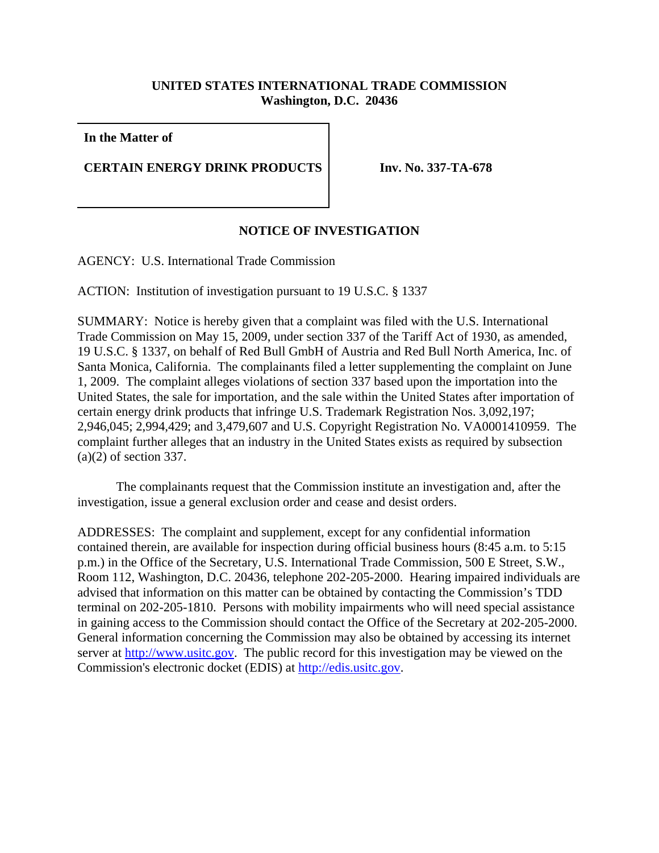## **UNITED STATES INTERNATIONAL TRADE COMMISSION Washington, D.C. 20436**

**In the Matter of**

**CERTAIN ENERGY DRINK PRODUCTS Inv. No. 337-TA-678**

## **NOTICE OF INVESTIGATION**

AGENCY: U.S. International Trade Commission

ACTION: Institution of investigation pursuant to 19 U.S.C. § 1337

SUMMARY: Notice is hereby given that a complaint was filed with the U.S. International Trade Commission on May 15, 2009, under section 337 of the Tariff Act of 1930, as amended, 19 U.S.C. § 1337, on behalf of Red Bull GmbH of Austria and Red Bull North America, Inc. of Santa Monica, California. The complainants filed a letter supplementing the complaint on June 1, 2009. The complaint alleges violations of section 337 based upon the importation into the United States, the sale for importation, and the sale within the United States after importation of certain energy drink products that infringe U.S. Trademark Registration Nos. 3,092,197; 2,946,045; 2,994,429; and 3,479,607 and U.S. Copyright Registration No. VA0001410959. The complaint further alleges that an industry in the United States exists as required by subsection (a)(2) of section 337.

The complainants request that the Commission institute an investigation and, after the investigation, issue a general exclusion order and cease and desist orders.

ADDRESSES: The complaint and supplement, except for any confidential information contained therein, are available for inspection during official business hours (8:45 a.m. to 5:15 p.m.) in the Office of the Secretary, U.S. International Trade Commission, 500 E Street, S.W., Room 112, Washington, D.C. 20436, telephone 202-205-2000. Hearing impaired individuals are advised that information on this matter can be obtained by contacting the Commission's TDD terminal on 202-205-1810. Persons with mobility impairments who will need special assistance in gaining access to the Commission should contact the Office of the Secretary at 202-205-2000. General information concerning the Commission may also be obtained by accessing its internet server at http://www.usitc.gov. The public record for this investigation may be viewed on the Commission's electronic docket (EDIS) at http://edis.usitc.gov.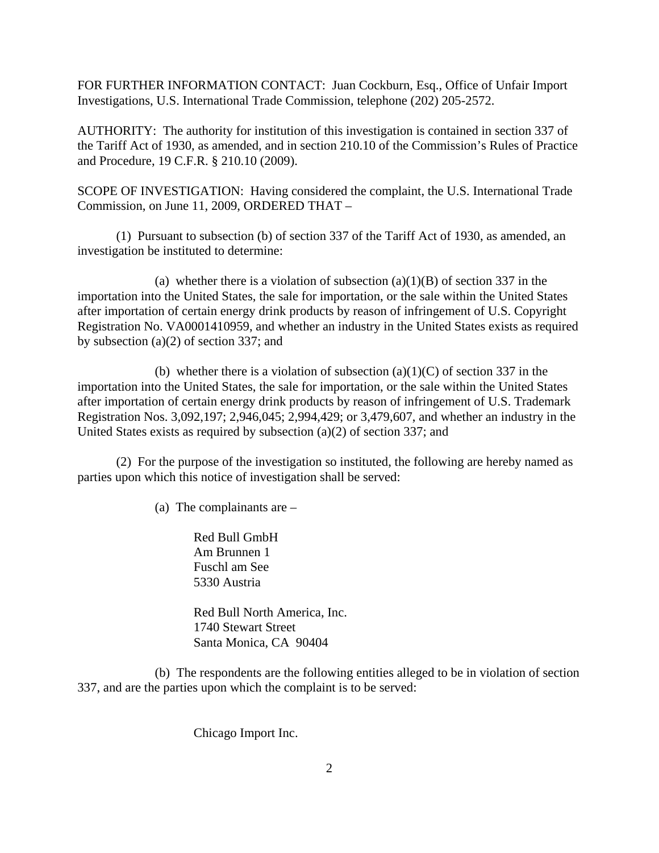FOR FURTHER INFORMATION CONTACT: Juan Cockburn, Esq., Office of Unfair Import Investigations, U.S. International Trade Commission, telephone (202) 205-2572.

AUTHORITY: The authority for institution of this investigation is contained in section 337 of the Tariff Act of 1930, as amended, and in section 210.10 of the Commission's Rules of Practice and Procedure, 19 C.F.R. § 210.10 (2009).

SCOPE OF INVESTIGATION: Having considered the complaint, the U.S. International Trade Commission, on June 11, 2009, ORDERED THAT –

(1) Pursuant to subsection (b) of section 337 of the Tariff Act of 1930, as amended, an investigation be instituted to determine:

(a) whether there is a violation of subsection  $(a)(1)(B)$  of section 337 in the importation into the United States, the sale for importation, or the sale within the United States after importation of certain energy drink products by reason of infringement of U.S. Copyright Registration No. VA0001410959, and whether an industry in the United States exists as required by subsection (a)(2) of section 337; and

(b) whether there is a violation of subsection  $(a)(1)(C)$  of section 337 in the importation into the United States, the sale for importation, or the sale within the United States after importation of certain energy drink products by reason of infringement of U.S. Trademark Registration Nos. 3,092,197; 2,946,045; 2,994,429; or 3,479,607, and whether an industry in the United States exists as required by subsection (a)(2) of section 337; and

(2) For the purpose of the investigation so instituted, the following are hereby named as parties upon which this notice of investigation shall be served:

(a) The complainants are –

Red Bull GmbH Am Brunnen 1 Fuschl am See 5330 Austria

Red Bull North America, Inc. 1740 Stewart Street Santa Monica, CA 90404

(b) The respondents are the following entities alleged to be in violation of section 337, and are the parties upon which the complaint is to be served:

Chicago Import Inc.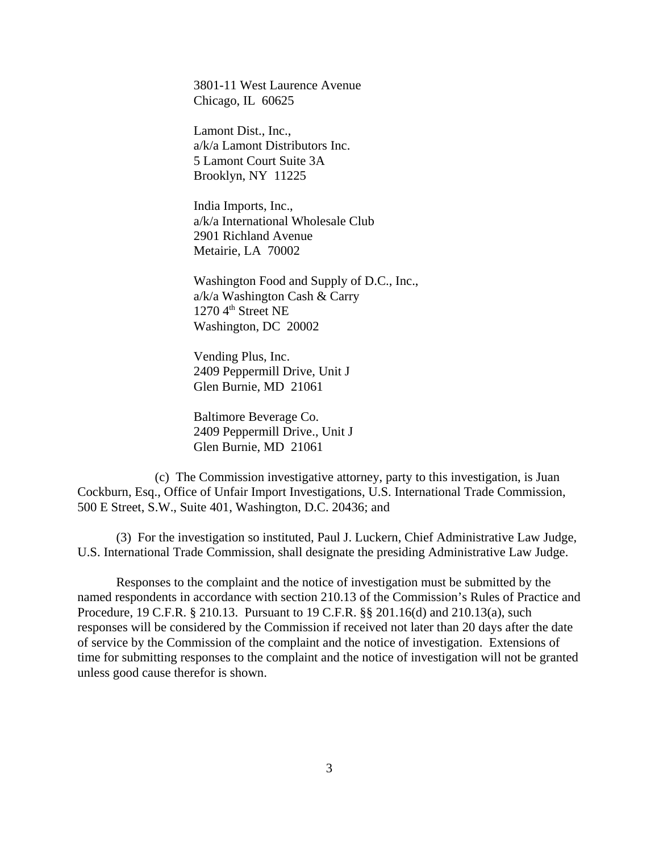3801-11 West Laurence Avenue Chicago, IL 60625

Lamont Dist., Inc., a/k/a Lamont Distributors Inc. 5 Lamont Court Suite 3A Brooklyn, NY 11225

India Imports, Inc., a/k/a International Wholesale Club 2901 Richland Avenue Metairie, LA 70002

Washington Food and Supply of D.C., Inc., a/k/a Washington Cash & Carry  $1270\,4<sup>th</sup>$  Street NE Washington, DC 20002

Vending Plus, Inc. 2409 Peppermill Drive, Unit J Glen Burnie, MD 21061

Baltimore Beverage Co. 2409 Peppermill Drive., Unit J Glen Burnie, MD 21061

(c) The Commission investigative attorney, party to this investigation, is Juan Cockburn, Esq., Office of Unfair Import Investigations, U.S. International Trade Commission, 500 E Street, S.W., Suite 401, Washington, D.C. 20436; and

(3) For the investigation so instituted, Paul J. Luckern, Chief Administrative Law Judge, U.S. International Trade Commission, shall designate the presiding Administrative Law Judge.

Responses to the complaint and the notice of investigation must be submitted by the named respondents in accordance with section 210.13 of the Commission's Rules of Practice and Procedure, 19 C.F.R. § 210.13. Pursuant to 19 C.F.R. §§ 201.16(d) and 210.13(a), such responses will be considered by the Commission if received not later than 20 days after the date of service by the Commission of the complaint and the notice of investigation. Extensions of time for submitting responses to the complaint and the notice of investigation will not be granted unless good cause therefor is shown.